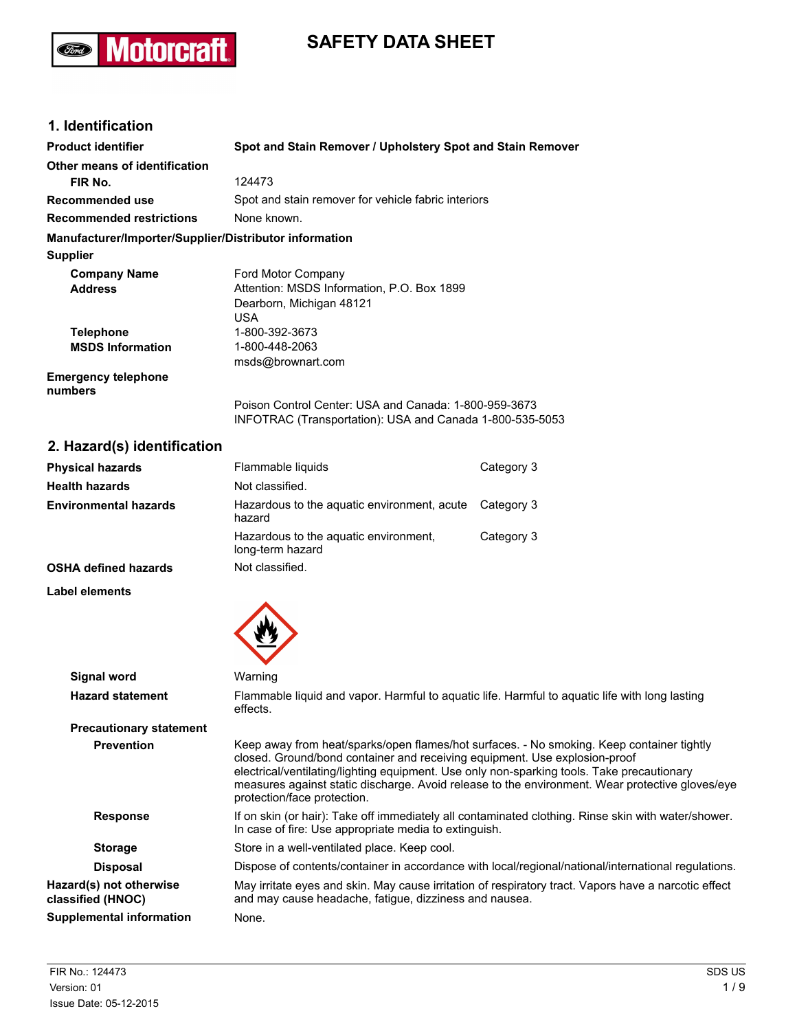# **SAFETY DATA SHEET**

## **1. Identification**

(Ford)

**Motorcraft** 

| <b>Product identifier</b>                              | Spot and Stain Remover / Upholstery Spot and Stain Remover                                                        |
|--------------------------------------------------------|-------------------------------------------------------------------------------------------------------------------|
| Other means of identification                          |                                                                                                                   |
| FIR No.                                                | 124473                                                                                                            |
| Recommended use                                        | Spot and stain remover for vehicle fabric interiors                                                               |
| <b>Recommended restrictions</b>                        | None known.                                                                                                       |
| Manufacturer/Importer/Supplier/Distributor information |                                                                                                                   |
| <b>Supplier</b>                                        |                                                                                                                   |
| <b>Company Name</b>                                    | Ford Motor Company                                                                                                |
| <b>Address</b>                                         | Attention: MSDS Information, P.O. Box 1899                                                                        |
|                                                        | Dearborn, Michigan 48121                                                                                          |
|                                                        | USA                                                                                                               |
| <b>Telephone</b>                                       | 1-800-392-3673                                                                                                    |
| <b>MSDS Information</b>                                | 1-800-448-2063                                                                                                    |
|                                                        | msds@brownart.com                                                                                                 |
| <b>Emergency telephone</b><br>numbers                  |                                                                                                                   |
|                                                        | Poison Control Center: USA and Canada: 1-800-959-3673<br>INFOTRAC (Transportation): USA and Canada 1-800-535-5053 |

## **2. Hazard(s) identification**

| <b>Physical hazards</b>      | Flammable liquids                                         | Category 3 |
|------------------------------|-----------------------------------------------------------|------------|
| <b>Health hazards</b>        | Not classified.                                           |            |
| <b>Environmental hazards</b> | Hazardous to the aquatic environment, acute<br>hazard     | Category 3 |
|                              | Hazardous to the aquatic environment,<br>long-term hazard | Category 3 |
| <b>OSHA defined hazards</b>  | Not classified.                                           |            |

#### **Label elements**



| Signal word                                  | Warning                                                                                                                                                                                                                                                                                                                                                                                                 |
|----------------------------------------------|---------------------------------------------------------------------------------------------------------------------------------------------------------------------------------------------------------------------------------------------------------------------------------------------------------------------------------------------------------------------------------------------------------|
| <b>Hazard statement</b>                      | Flammable liquid and vapor. Harmful to aquatic life. Harmful to aquatic life with long lasting<br>effects.                                                                                                                                                                                                                                                                                              |
| <b>Precautionary statement</b>               |                                                                                                                                                                                                                                                                                                                                                                                                         |
| <b>Prevention</b>                            | Keep away from heat/sparks/open flames/hot surfaces. - No smoking. Keep container tightly<br>closed. Ground/bond container and receiving equipment. Use explosion-proof<br>electrical/ventilating/lighting equipment. Use only non-sparking tools. Take precautionary<br>measures against static discharge. Avoid release to the environment. Wear protective gloves/eye<br>protection/face protection. |
| <b>Response</b>                              | If on skin (or hair): Take off immediately all contaminated clothing. Rinse skin with water/shower.<br>In case of fire: Use appropriate media to extinguish.                                                                                                                                                                                                                                            |
| <b>Storage</b>                               | Store in a well-ventilated place. Keep cool.                                                                                                                                                                                                                                                                                                                                                            |
| <b>Disposal</b>                              | Dispose of contents/container in accordance with local/regional/national/international regulations.                                                                                                                                                                                                                                                                                                     |
| Hazard(s) not otherwise<br>classified (HNOC) | May irritate eyes and skin. May cause irritation of respiratory tract. Vapors have a narcotic effect<br>and may cause headache, fatigue, dizziness and nausea.                                                                                                                                                                                                                                          |
| <b>Supplemental information</b>              | None.                                                                                                                                                                                                                                                                                                                                                                                                   |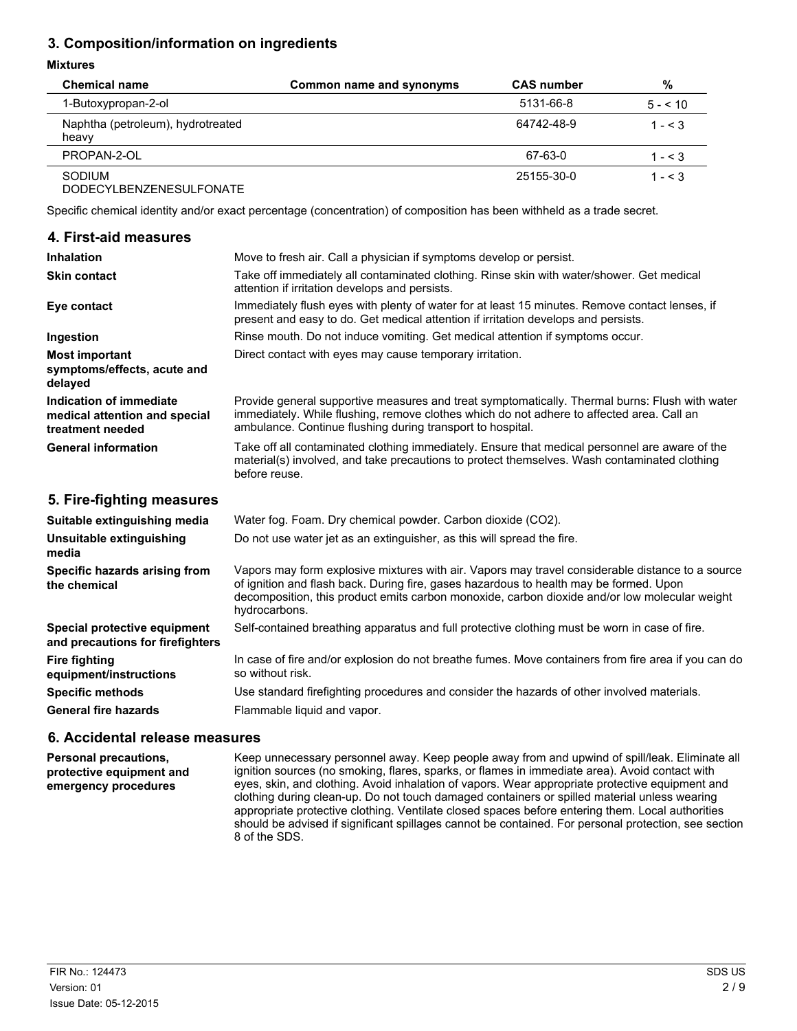## **3. Composition/information on ingredients**

#### **Mixtures**

| <b>Chemical name</b>                        | Common name and synonyms | <b>CAS</b> number | %            |
|---------------------------------------------|--------------------------|-------------------|--------------|
| 1-Butoxypropan-2-ol                         |                          | 5131-66-8         | $5 - 5 = 10$ |
| Naphtha (petroleum), hydrotreated<br>heavy  |                          | 64742-48-9        | $1 - 5.3$    |
| PROPAN-2-OL                                 |                          | 67-63-0           | $1 - 5.3$    |
| SODIUM<br><b>DODEOVI DENIZENEOUL EQUATE</b> |                          | 25155-30-0        | $1 - 5.3$    |

DODECYLBENZENESULFONATE

Specific chemical identity and/or exact percentage (concentration) of composition has been withheld as a trade secret.

| 4. First-aid measures                                                        |                                                                                                                                                                                                                                                           |
|------------------------------------------------------------------------------|-----------------------------------------------------------------------------------------------------------------------------------------------------------------------------------------------------------------------------------------------------------|
| <b>Inhalation</b>                                                            | Move to fresh air. Call a physician if symptoms develop or persist.                                                                                                                                                                                       |
| <b>Skin contact</b>                                                          | Take off immediately all contaminated clothing. Rinse skin with water/shower. Get medical<br>attention if irritation develops and persists.                                                                                                               |
| Eye contact                                                                  | Immediately flush eyes with plenty of water for at least 15 minutes. Remove contact lenses, if<br>present and easy to do. Get medical attention if irritation develops and persists.                                                                      |
| Ingestion                                                                    | Rinse mouth. Do not induce vomiting. Get medical attention if symptoms occur.                                                                                                                                                                             |
| <b>Most important</b><br>symptoms/effects, acute and<br>delayed              | Direct contact with eyes may cause temporary irritation.                                                                                                                                                                                                  |
| Indication of immediate<br>medical attention and special<br>treatment needed | Provide general supportive measures and treat symptomatically. Thermal burns: Flush with water<br>immediately. While flushing, remove clothes which do not adhere to affected area. Call an<br>ambulance. Continue flushing during transport to hospital. |
| <b>General information</b>                                                   | Take off all contaminated clothing immediately. Ensure that medical personnel are aware of the<br>material(s) involved, and take precautions to protect themselves. Wash contaminated clothing<br>before reuse.                                           |
| 5. Fire-fighting measures                                                    |                                                                                                                                                                                                                                                           |

| Suitable extinguishing media                                     | Water fog. Foam. Dry chemical powder. Carbon dioxide (CO2).                                                                                                                                                                                                                                                  |
|------------------------------------------------------------------|--------------------------------------------------------------------------------------------------------------------------------------------------------------------------------------------------------------------------------------------------------------------------------------------------------------|
| Unsuitable extinguishing<br>media                                | Do not use water jet as an extinguisher, as this will spread the fire.                                                                                                                                                                                                                                       |
| Specific hazards arising from<br>the chemical                    | Vapors may form explosive mixtures with air. Vapors may travel considerable distance to a source<br>of ignition and flash back. During fire, gases hazardous to health may be formed. Upon<br>decomposition, this product emits carbon monoxide, carbon dioxide and/or low molecular weight<br>hydrocarbons. |
| Special protective equipment<br>and precautions for firefighters | Self-contained breathing apparatus and full protective clothing must be worn in case of fire.                                                                                                                                                                                                                |
| <b>Fire fighting</b><br>equipment/instructions                   | In case of fire and/or explosion do not breathe fumes. Move containers from fire area if you can do<br>so without risk.                                                                                                                                                                                      |
| <b>Specific methods</b>                                          | Use standard firefighting procedures and consider the hazards of other involved materials.                                                                                                                                                                                                                   |
| <b>General fire hazards</b>                                      | Flammable liquid and vapor.                                                                                                                                                                                                                                                                                  |

### **6. Accidental release measures**

**Personal precautions, protective equipment and emergency procedures** Keep unnecessary personnel away. Keep people away from and upwind of spill/leak. Eliminate all ignition sources (no smoking, flares, sparks, or flames in immediate area). Avoid contact with eyes, skin, and clothing. Avoid inhalation of vapors. Wear appropriate protective equipment and clothing during clean-up. Do not touch damaged containers or spilled material unless wearing appropriate protective clothing. Ventilate closed spaces before entering them. Local authorities should be advised if significant spillages cannot be contained. For personal protection, see section 8 of the SDS.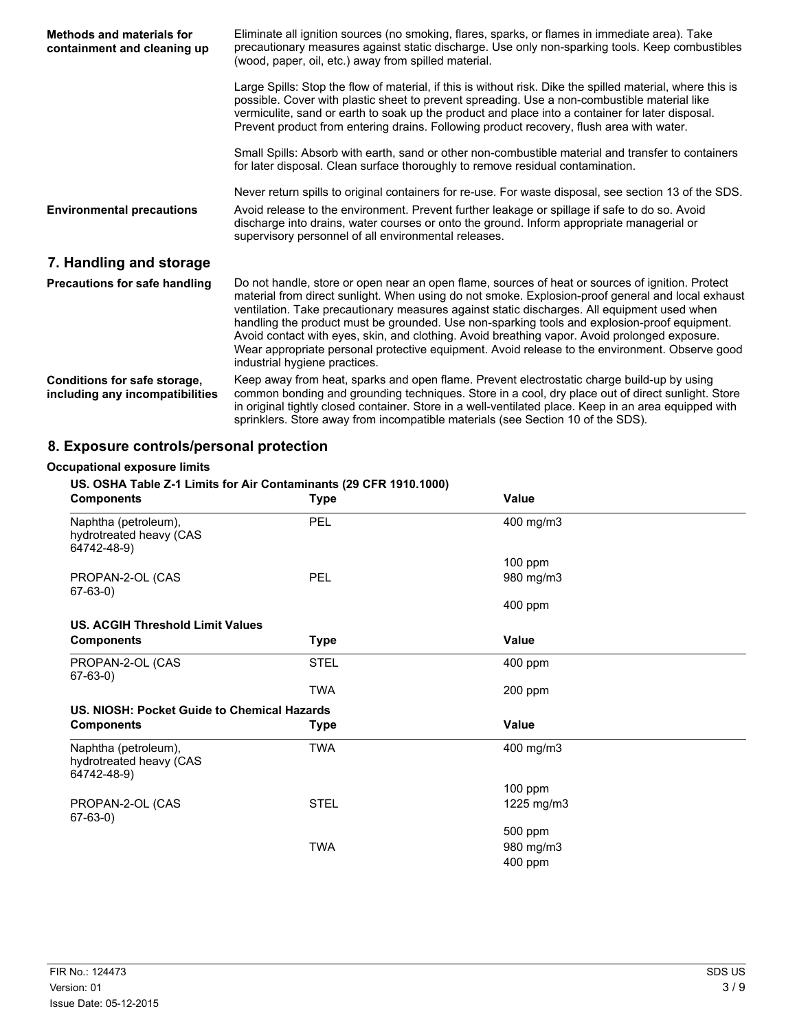| <b>Methods and materials for</b><br>containment and cleaning up | Eliminate all ignition sources (no smoking, flares, sparks, or flames in immediate area). Take<br>precautionary measures against static discharge. Use only non-sparking tools. Keep combustibles<br>(wood, paper, oil, etc.) away from spilled material.                                                                                                                                                                                                                                                                                                                                                                                |
|-----------------------------------------------------------------|------------------------------------------------------------------------------------------------------------------------------------------------------------------------------------------------------------------------------------------------------------------------------------------------------------------------------------------------------------------------------------------------------------------------------------------------------------------------------------------------------------------------------------------------------------------------------------------------------------------------------------------|
|                                                                 | Large Spills: Stop the flow of material, if this is without risk. Dike the spilled material, where this is<br>possible. Cover with plastic sheet to prevent spreading. Use a non-combustible material like<br>vermiculite, sand or earth to soak up the product and place into a container for later disposal.<br>Prevent product from entering drains. Following product recovery, flush area with water.                                                                                                                                                                                                                               |
|                                                                 | Small Spills: Absorb with earth, sand or other non-combustible material and transfer to containers<br>for later disposal. Clean surface thoroughly to remove residual contamination.                                                                                                                                                                                                                                                                                                                                                                                                                                                     |
| <b>Environmental precautions</b>                                | Never return spills to original containers for re-use. For waste disposal, see section 13 of the SDS.<br>Avoid release to the environment. Prevent further leakage or spillage if safe to do so. Avoid<br>discharge into drains, water courses or onto the ground. Inform appropriate managerial or<br>supervisory personnel of all environmental releases.                                                                                                                                                                                                                                                                              |
| 7. Handling and storage                                         |                                                                                                                                                                                                                                                                                                                                                                                                                                                                                                                                                                                                                                          |
| <b>Precautions for safe handling</b>                            | Do not handle, store or open near an open flame, sources of heat or sources of ignition. Protect<br>material from direct sunlight. When using do not smoke. Explosion-proof general and local exhaust<br>ventilation. Take precautionary measures against static discharges. All equipment used when<br>handling the product must be grounded. Use non-sparking tools and explosion-proof equipment.<br>Avoid contact with eyes, skin, and clothing. Avoid breathing vapor. Avoid prolonged exposure.<br>Wear appropriate personal protective equipment. Avoid release to the environment. Observe good<br>industrial hygiene practices. |
| Conditions for safe storage,<br>including any incompatibilities | Keep away from heat, sparks and open flame. Prevent electrostatic charge build-up by using<br>common bonding and grounding techniques. Store in a cool, dry place out of direct sunlight. Store<br>in original tightly closed container. Store in a well-ventilated place. Keep in an area equipped with<br>sprinklers. Store away from incompatible materials (see Section 10 of the SDS).                                                                                                                                                                                                                                              |

## **8. Exposure controls/personal protection**

## **Occupational exposure limits**

### **US. OSHA Table Z-1 Limits for Air Contaminants (29 CFR 1910.1000)**

| <b>Components</b>                                              | <b>Type</b> | <b>Value</b> |  |
|----------------------------------------------------------------|-------------|--------------|--|
| Naphtha (petroleum),<br>hydrotreated heavy (CAS<br>64742-48-9) | <b>PEL</b>  | 400 mg/m3    |  |
|                                                                |             | $100$ ppm    |  |
| PROPAN-2-OL (CAS<br>67-63-0)                                   | <b>PEL</b>  | 980 mg/m3    |  |
|                                                                |             | 400 ppm      |  |
| <b>US. ACGIH Threshold Limit Values</b>                        |             |              |  |
| <b>Components</b>                                              | <b>Type</b> | Value        |  |
| PROPAN-2-OL (CAS<br>$67-63-0$                                  | <b>STEL</b> | 400 ppm      |  |
|                                                                | <b>TWA</b>  | 200 ppm      |  |
| US. NIOSH: Pocket Guide to Chemical Hazards                    |             |              |  |
| <b>Components</b>                                              | Type        | Value        |  |
| Naphtha (petroleum),<br>hydrotreated heavy (CAS<br>64742-48-9) | TWA         | 400 mg/m3    |  |
|                                                                |             | $100$ ppm    |  |
| PROPAN-2-OL (CAS<br>67-63-0)                                   | <b>STEL</b> | 1225 mg/m3   |  |
|                                                                |             | 500 ppm      |  |
|                                                                | <b>TWA</b>  | 980 mg/m3    |  |
|                                                                |             | 400 ppm      |  |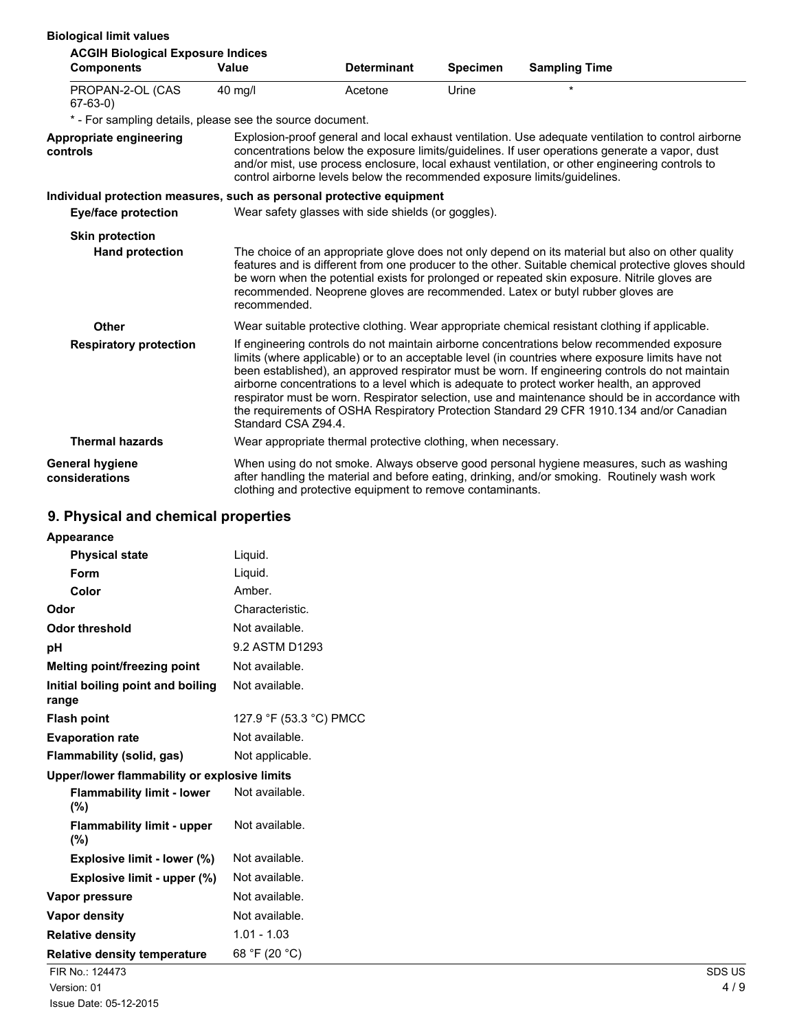| <b>Biological limit values</b>                                        |              |                                                                                                                                                                                                                                                                                                                                                                                                                                                                                                                                                                                                                       |                 |                                                                                                                                                                                                                                                                                                                                                                                              |  |
|-----------------------------------------------------------------------|--------------|-----------------------------------------------------------------------------------------------------------------------------------------------------------------------------------------------------------------------------------------------------------------------------------------------------------------------------------------------------------------------------------------------------------------------------------------------------------------------------------------------------------------------------------------------------------------------------------------------------------------------|-----------------|----------------------------------------------------------------------------------------------------------------------------------------------------------------------------------------------------------------------------------------------------------------------------------------------------------------------------------------------------------------------------------------------|--|
| <b>ACGIH Biological Exposure Indices</b>                              | Value        | <b>Determinant</b>                                                                                                                                                                                                                                                                                                                                                                                                                                                                                                                                                                                                    |                 |                                                                                                                                                                                                                                                                                                                                                                                              |  |
| <b>Components</b>                                                     |              |                                                                                                                                                                                                                                                                                                                                                                                                                                                                                                                                                                                                                       | <b>Specimen</b> | <b>Sampling Time</b>                                                                                                                                                                                                                                                                                                                                                                         |  |
| PROPAN-2-OL (CAS<br>$67-63-0)$                                        | 40 mg/l      | Acetone                                                                                                                                                                                                                                                                                                                                                                                                                                                                                                                                                                                                               | Urine           | $\star$                                                                                                                                                                                                                                                                                                                                                                                      |  |
| * - For sampling details, please see the source document.             |              |                                                                                                                                                                                                                                                                                                                                                                                                                                                                                                                                                                                                                       |                 |                                                                                                                                                                                                                                                                                                                                                                                              |  |
| Appropriate engineering<br>controls                                   |              | control airborne levels below the recommended exposure limits/guidelines.                                                                                                                                                                                                                                                                                                                                                                                                                                                                                                                                             |                 | Explosion-proof general and local exhaust ventilation. Use adequate ventilation to control airborne<br>concentrations below the exposure limits/guidelines. If user operations generate a vapor, dust<br>and/or mist, use process enclosure, local exhaust ventilation, or other engineering controls to                                                                                     |  |
| Individual protection measures, such as personal protective equipment |              |                                                                                                                                                                                                                                                                                                                                                                                                                                                                                                                                                                                                                       |                 |                                                                                                                                                                                                                                                                                                                                                                                              |  |
| Eye/face protection                                                   |              | Wear safety glasses with side shields (or goggles).                                                                                                                                                                                                                                                                                                                                                                                                                                                                                                                                                                   |                 |                                                                                                                                                                                                                                                                                                                                                                                              |  |
| <b>Skin protection</b>                                                |              |                                                                                                                                                                                                                                                                                                                                                                                                                                                                                                                                                                                                                       |                 |                                                                                                                                                                                                                                                                                                                                                                                              |  |
| <b>Hand protection</b>                                                | recommended. |                                                                                                                                                                                                                                                                                                                                                                                                                                                                                                                                                                                                                       |                 | The choice of an appropriate glove does not only depend on its material but also on other quality<br>features and is different from one producer to the other. Suitable chemical protective gloves should<br>be worn when the potential exists for prolonged or repeated skin exposure. Nitrile gloves are<br>recommended. Neoprene gloves are recommended. Latex or butyl rubber gloves are |  |
| <b>Other</b>                                                          |              |                                                                                                                                                                                                                                                                                                                                                                                                                                                                                                                                                                                                                       |                 | Wear suitable protective clothing. Wear appropriate chemical resistant clothing if applicable.                                                                                                                                                                                                                                                                                               |  |
| <b>Respiratory protection</b>                                         |              | If engineering controls do not maintain airborne concentrations below recommended exposure<br>limits (where applicable) or to an acceptable level (in countries where exposure limits have not<br>been established), an approved respirator must be worn. If engineering controls do not maintain<br>airborne concentrations to a level which is adequate to protect worker health, an approved<br>respirator must be worn. Respirator selection, use and maintenance should be in accordance with<br>the requirements of OSHA Respiratory Protection Standard 29 CFR 1910.134 and/or Canadian<br>Standard CSA Z94.4. |                 |                                                                                                                                                                                                                                                                                                                                                                                              |  |
| <b>Thermal hazards</b>                                                |              | Wear appropriate thermal protective clothing, when necessary.                                                                                                                                                                                                                                                                                                                                                                                                                                                                                                                                                         |                 |                                                                                                                                                                                                                                                                                                                                                                                              |  |
| <b>General hygiene</b><br>considerations                              |              | clothing and protective equipment to remove contaminants.                                                                                                                                                                                                                                                                                                                                                                                                                                                                                                                                                             |                 | When using do not smoke. Always observe good personal hygiene measures, such as washing<br>after handling the material and before eating, drinking, and/or smoking. Routinely wash work                                                                                                                                                                                                      |  |

### **9. Physical and chemical properties**

| Appearance                                   |                         |        |
|----------------------------------------------|-------------------------|--------|
| <b>Physical state</b>                        | Liquid.                 |        |
| Form                                         | Liquid.                 |        |
| Color                                        | Amber.                  |        |
| Odor                                         | Characteristic.         |        |
| <b>Odor threshold</b>                        | Not available.          |        |
| pH                                           | 9.2 ASTM D1293          |        |
| Melting point/freezing point                 | Not available.          |        |
| Initial boiling point and boiling<br>range   | Not available.          |        |
| <b>Flash point</b>                           | 127.9 °F (53.3 °C) PMCC |        |
| <b>Evaporation rate</b>                      | Not available.          |        |
| Flammability (solid, gas)                    | Not applicable.         |        |
| Upper/lower flammability or explosive limits |                         |        |
| <b>Flammability limit - lower</b><br>$(\%)$  | Not available.          |        |
| <b>Flammability limit - upper</b><br>$(\% )$ | Not available.          |        |
| Explosive limit - lower (%)                  | Not available.          |        |
| Explosive limit - upper (%)                  | Not available.          |        |
| Vapor pressure                               | Not available.          |        |
| <b>Vapor density</b>                         | Not available.          |        |
| <b>Relative density</b>                      | $1.01 - 1.03$           |        |
| <b>Relative density temperature</b>          | 68 °F (20 °C)           |        |
| FIR No.: 124473                              |                         | SDS US |
| Version: 01                                  |                         | 4/9    |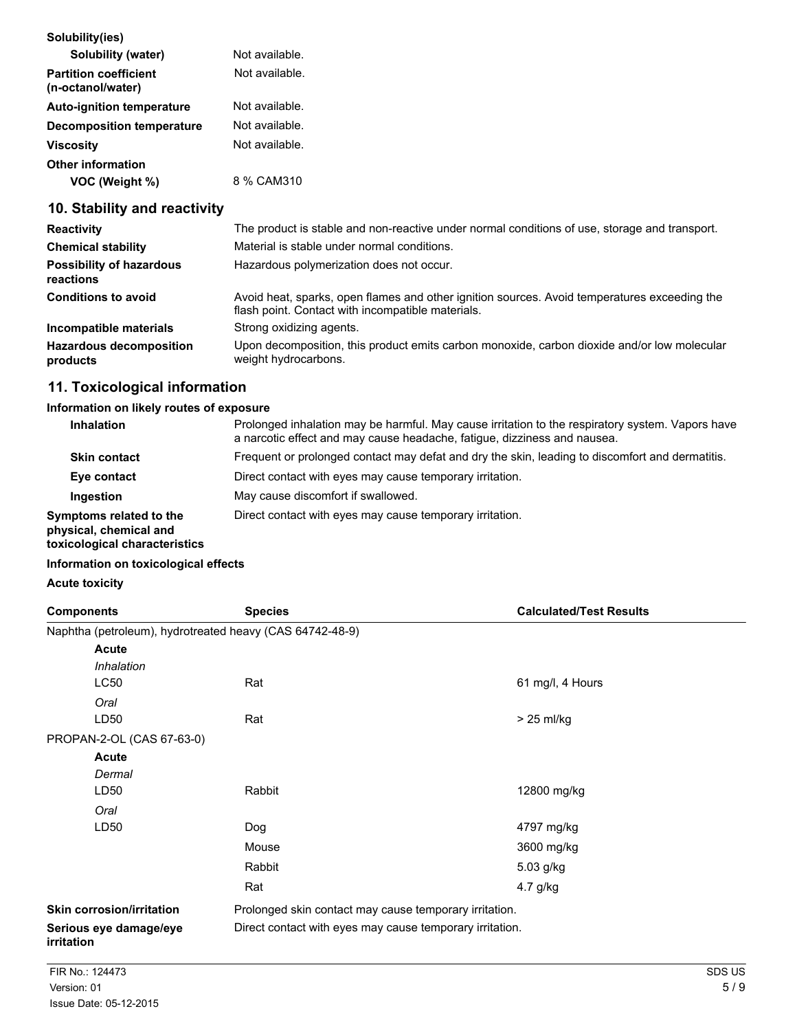| Solubility(ies)                                   |                |
|---------------------------------------------------|----------------|
| Solubility (water)                                | Not available. |
| <b>Partition coefficient</b><br>(n-octanol/water) | Not available. |
| <b>Auto-ignition temperature</b>                  | Not available. |
| <b>Decomposition temperature</b>                  | Not available. |
| <b>Viscosity</b>                                  | Not available. |
| <b>Other information</b>                          |                |
| VOC (Weight %)                                    | 8 % CAM310     |

## **10. Stability and reactivity**

| <b>Reactivity</b>                            | The product is stable and non-reactive under normal conditions of use, storage and transport.                                                     |
|----------------------------------------------|---------------------------------------------------------------------------------------------------------------------------------------------------|
| <b>Chemical stability</b>                    | Material is stable under normal conditions.                                                                                                       |
| <b>Possibility of hazardous</b><br>reactions | Hazardous polymerization does not occur.                                                                                                          |
| <b>Conditions to avoid</b>                   | Avoid heat, sparks, open flames and other ignition sources. Avoid temperatures exceeding the<br>flash point. Contact with incompatible materials. |
| Incompatible materials                       | Strong oxidizing agents.                                                                                                                          |
| <b>Hazardous decomposition</b><br>products   | Upon decomposition, this product emits carbon monoxide, carbon dioxide and/or low molecular<br>weight hydrocarbons.                               |

## **11. Toxicological information**

### **Information on likely routes of exposure**

| <b>Inhalation</b>                                                                  | Prolonged inhalation may be harmful. May cause irritation to the respiratory system. Vapors have<br>a narcotic effect and may cause headache, fatigue, dizziness and nausea. |
|------------------------------------------------------------------------------------|------------------------------------------------------------------------------------------------------------------------------------------------------------------------------|
| <b>Skin contact</b>                                                                | Frequent or prolonged contact may defat and dry the skin, leading to discomfort and dermatitis.                                                                              |
| Eye contact                                                                        | Direct contact with eyes may cause temporary irritation.                                                                                                                     |
| Ingestion                                                                          | May cause discomfort if swallowed.                                                                                                                                           |
| Symptoms related to the<br>physical, chemical and<br>toxicological characteristics | Direct contact with eyes may cause temporary irritation.                                                                                                                     |

### **Information on toxicological effects**

### **Acute toxicity**

| <b>Components</b>                                        | <b>Species</b>                                           | <b>Calculated/Test Results</b> |
|----------------------------------------------------------|----------------------------------------------------------|--------------------------------|
| Naphtha (petroleum), hydrotreated heavy (CAS 64742-48-9) |                                                          |                                |
| <b>Acute</b>                                             |                                                          |                                |
| Inhalation                                               |                                                          |                                |
| LC50                                                     | Rat                                                      | 61 mg/l, 4 Hours               |
| Oral                                                     |                                                          |                                |
| LD50                                                     | Rat                                                      | $> 25$ ml/kg                   |
| PROPAN-2-OL (CAS 67-63-0)                                |                                                          |                                |
| <b>Acute</b>                                             |                                                          |                                |
| Dermal                                                   |                                                          |                                |
| LD50                                                     | Rabbit                                                   | 12800 mg/kg                    |
| Oral                                                     |                                                          |                                |
| LD50                                                     | Dog                                                      | 4797 mg/kg                     |
|                                                          | Mouse                                                    | 3600 mg/kg                     |
|                                                          | Rabbit                                                   | 5.03 g/kg                      |
|                                                          | Rat                                                      | 4.7 g/kg                       |
| <b>Skin corrosion/irritation</b>                         | Prolonged skin contact may cause temporary irritation.   |                                |
| Serious eye damage/eye<br>irritation                     | Direct contact with eyes may cause temporary irritation. |                                |
| FIR No.: 124473                                          |                                                          | SDS US                         |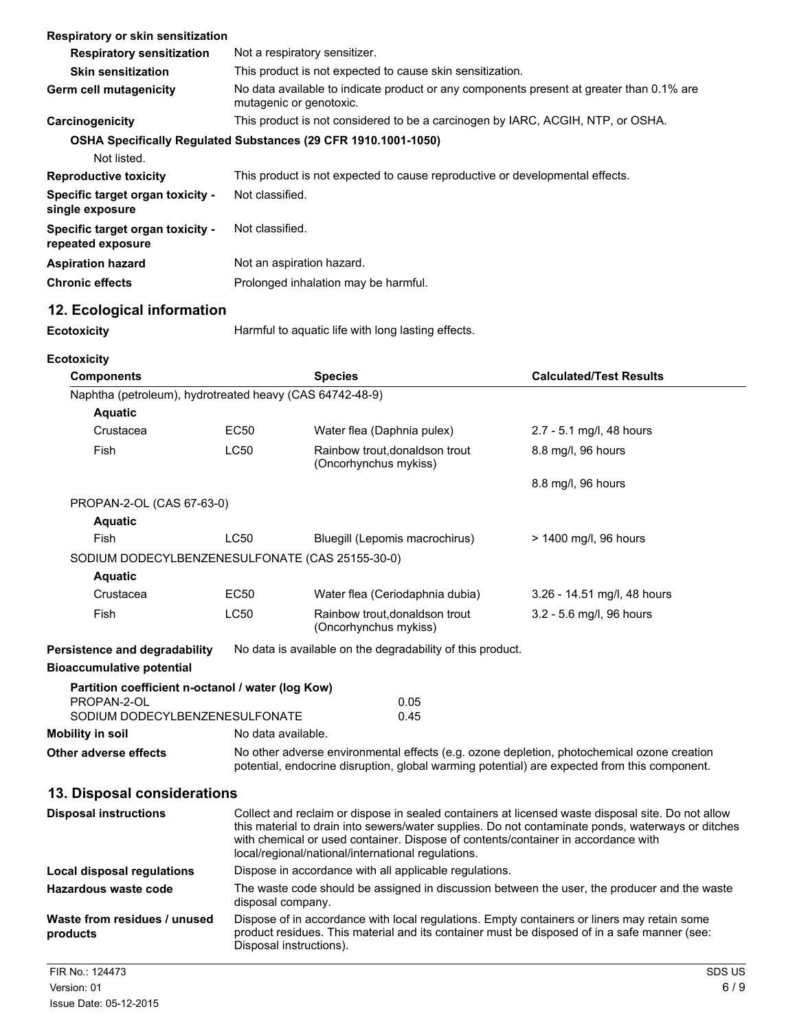| Respiratory or skin sensitization                                             |                                                                                                                     |                                                                              |                                |
|-------------------------------------------------------------------------------|---------------------------------------------------------------------------------------------------------------------|------------------------------------------------------------------------------|--------------------------------|
| <b>Respiratory sensitization</b>                                              | Not a respiratory sensitizer.                                                                                       |                                                                              |                                |
| <b>Skin sensitization</b>                                                     |                                                                                                                     | This product is not expected to cause skin sensitization.                    |                                |
| <b>Germ cell mutagenicity</b>                                                 | No data available to indicate product or any components present at greater than 0.1% are<br>mutagenic or genotoxic. |                                                                              |                                |
| Carcinogenicity                                                               | This product is not considered to be a carcinogen by IARC, ACGIH, NTP, or OSHA.                                     |                                                                              |                                |
| OSHA Specifically Regulated Substances (29 CFR 1910.1001-1050)<br>Not listed. |                                                                                                                     |                                                                              |                                |
| <b>Reproductive toxicity</b>                                                  |                                                                                                                     | This product is not expected to cause reproductive or developmental effects. |                                |
| Specific target organ toxicity -<br>single exposure                           | Not classified.                                                                                                     |                                                                              |                                |
| Specific target organ toxicity -<br>repeated exposure                         | Not classified.                                                                                                     |                                                                              |                                |
| <b>Aspiration hazard</b>                                                      | Not an aspiration hazard.                                                                                           |                                                                              |                                |
| <b>Chronic effects</b>                                                        |                                                                                                                     | Prolonged inhalation may be harmful.                                         |                                |
| 12. Ecological information                                                    |                                                                                                                     |                                                                              |                                |
| <b>Ecotoxicity</b>                                                            |                                                                                                                     | Harmful to aquatic life with long lasting effects.                           |                                |
|                                                                               |                                                                                                                     |                                                                              |                                |
| <b>Ecotoxicity</b>                                                            |                                                                                                                     |                                                                              |                                |
| <b>Components</b>                                                             |                                                                                                                     |                                                                              |                                |
|                                                                               |                                                                                                                     | <b>Species</b>                                                               | <b>Calculated/Test Results</b> |
| Naphtha (petroleum), hydrotreated heavy (CAS 64742-48-9)                      |                                                                                                                     |                                                                              |                                |
| <b>Aquatic</b>                                                                |                                                                                                                     |                                                                              |                                |
| Crustacea                                                                     | EC50                                                                                                                | Water flea (Daphnia pulex)                                                   | 2.7 - 5.1 mg/l, 48 hours       |
| Fish                                                                          | <b>LC50</b>                                                                                                         | Rainbow trout, donaldson trout<br>(Oncorhynchus mykiss)                      | 8.8 mg/l, 96 hours             |
|                                                                               |                                                                                                                     |                                                                              | 8.8 mg/l, 96 hours             |
| PROPAN-2-OL (CAS 67-63-0)                                                     |                                                                                                                     |                                                                              |                                |
| <b>Aquatic</b>                                                                |                                                                                                                     |                                                                              |                                |
| <b>Fish</b>                                                                   | <b>LC50</b>                                                                                                         | Bluegill (Lepomis macrochirus)                                               | > 1400 mg/l, 96 hours          |
| SODIUM DODECYLBENZENESULFONATE (CAS 25155-30-0)                               |                                                                                                                     |                                                                              |                                |
| <b>Aquatic</b>                                                                |                                                                                                                     |                                                                              |                                |
| Crustacea                                                                     | EC50                                                                                                                | Water flea (Ceriodaphnia dubia)                                              | 3.26 - 14.51 mg/l, 48 hours    |
| Fish                                                                          | <b>LC50</b>                                                                                                         | Rainbow trout, donaldson trout<br>(Oncorhynchus mykiss)                      | 3.2 - 5.6 mg/l, 96 hours       |

# **Bioaccumulative potential**

| Partition coefficient n-octanol / water (log Kow) |                                                                                                                                |      |
|---------------------------------------------------|--------------------------------------------------------------------------------------------------------------------------------|------|
| PROPAN-2-OL                                       |                                                                                                                                | 0.05 |
| SODIUM DODECYLBENZENESULFONATE                    |                                                                                                                                | 0.45 |
| Mobility in soil                                  | No data available.                                                                                                             |      |
|                                                   | <b>A</b> Fig. (a) Here we can also a construction of the construction of $\mathbf{f}(\mathbf{f})$ and $\mathbf{f}(\mathbf{f})$ |      |

**Other adverse effects** No other adverse environmental effects (e.g. ozone depletion, photochemical ozone creation potential, endocrine disruption, global warming potential) are expected from this component.

## **13. Disposal considerations**

| <b>Disposal instructions</b>             | Collect and reclaim or dispose in sealed containers at licensed waste disposal site. Do not allow<br>this material to drain into sewers/water supplies. Do not contaminate ponds, waterways or ditches<br>with chemical or used container. Dispose of contents/container in accordance with<br>local/regional/national/international regulations. |  |  |
|------------------------------------------|---------------------------------------------------------------------------------------------------------------------------------------------------------------------------------------------------------------------------------------------------------------------------------------------------------------------------------------------------|--|--|
| Local disposal regulations               | Dispose in accordance with all applicable regulations.                                                                                                                                                                                                                                                                                            |  |  |
| Hazardous waste code                     | The waste code should be assigned in discussion between the user, the producer and the waste<br>disposal company.                                                                                                                                                                                                                                 |  |  |
| Waste from residues / unused<br>products | Dispose of in accordance with local regulations. Empty containers or liners may retain some<br>product residues. This material and its container must be disposed of in a safe manner (see:<br>Disposal instructions).                                                                                                                            |  |  |
| FIR No.: 124473                          | SDS US                                                                                                                                                                                                                                                                                                                                            |  |  |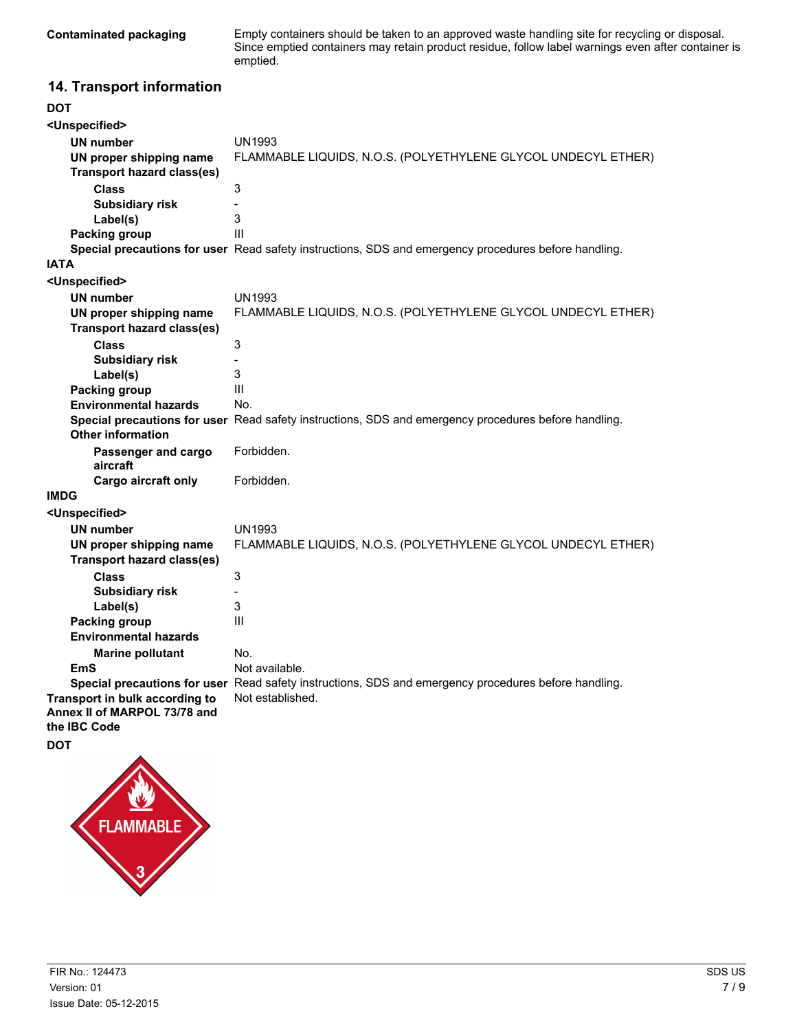**Contaminated packaging** Empty containers should be taken to an approved waste handling site for recycling or disposal. Since emptied containers may retain product residue, follow label warnings even after container is emptied.

## **14. Transport information**

| <b>DOT</b>                        |                                                                                                                          |
|-----------------------------------|--------------------------------------------------------------------------------------------------------------------------|
| <unspecified></unspecified>       |                                                                                                                          |
| <b>UN number</b>                  | <b>UN1993</b>                                                                                                            |
| UN proper shipping name           | FLAMMABLE LIQUIDS, N.O.S. (POLYETHYLENE GLYCOL UNDECYL ETHER)                                                            |
| <b>Transport hazard class(es)</b> |                                                                                                                          |
| <b>Class</b>                      | 3                                                                                                                        |
| <b>Subsidiary risk</b>            |                                                                                                                          |
| Label(s)                          | 3                                                                                                                        |
| Packing group                     | Ш                                                                                                                        |
|                                   | Special precautions for user Read safety instructions, SDS and emergency procedures before handling.                     |
| <b>IATA</b>                       |                                                                                                                          |
| <unspecified></unspecified>       |                                                                                                                          |
| <b>UN number</b>                  | <b>UN1993</b>                                                                                                            |
| UN proper shipping name           | FLAMMABLE LIQUIDS, N.O.S. (POLYETHYLENE GLYCOL UNDECYL ETHER)                                                            |
| <b>Transport hazard class(es)</b> |                                                                                                                          |
| <b>Class</b>                      | 3                                                                                                                        |
| <b>Subsidiary risk</b>            |                                                                                                                          |
| Label(s)                          | 3                                                                                                                        |
| Packing group                     | III                                                                                                                      |
| <b>Environmental hazards</b>      | No.                                                                                                                      |
|                                   | Special precautions for user Read safety instructions, SDS and emergency procedures before handling.                     |
| <b>Other information</b>          |                                                                                                                          |
| Passenger and cargo<br>aircraft   | Forbidden.                                                                                                               |
| Cargo aircraft only               | Forbidden.                                                                                                               |
| <b>IMDG</b>                       |                                                                                                                          |
| <unspecified></unspecified>       |                                                                                                                          |
| <b>UN number</b>                  | UN1993                                                                                                                   |
| UN proper shipping name           | FLAMMABLE LIQUIDS, N.O.S. (POLYETHYLENE GLYCOL UNDECYL ETHER)                                                            |
| <b>Transport hazard class(es)</b> |                                                                                                                          |
| <b>Class</b>                      | 3                                                                                                                        |
| <b>Subsidiary risk</b>            |                                                                                                                          |
| Label(s)                          | 3                                                                                                                        |
| Packing group                     | III                                                                                                                      |
| <b>Environmental hazards</b>      |                                                                                                                          |
| <b>Marine pollutant</b>           | No.                                                                                                                      |
| EmS                               | Not available.                                                                                                           |
| Transport in bulk according to    | Special precautions for user Read safety instructions, SDS and emergency procedures before handling.<br>Not established. |
| Annex II of MARPOL 73/78 and      |                                                                                                                          |
| the IBC Code                      |                                                                                                                          |
| <b>DOT</b>                        |                                                                                                                          |
|                                   |                                                                                                                          |
|                                   |                                                                                                                          |

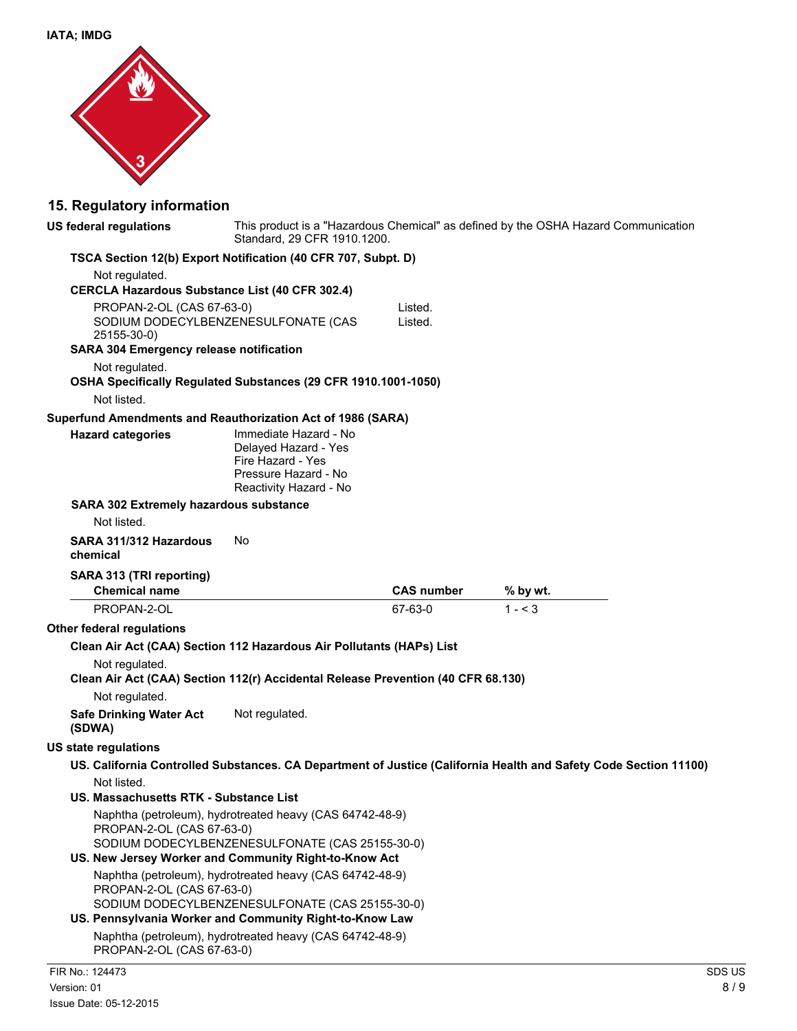

## **15. Regulatory information**

| <b>US federal regulations</b>                                                                      | Standard, 29 CFR 1910.1200.                                                                                          |                   | This product is a "Hazardous Chemical" as defined by the OSHA Hazard Communication                               |        |
|----------------------------------------------------------------------------------------------------|----------------------------------------------------------------------------------------------------------------------|-------------------|------------------------------------------------------------------------------------------------------------------|--------|
| TSCA Section 12(b) Export Notification (40 CFR 707, Subpt. D)                                      |                                                                                                                      |                   |                                                                                                                  |        |
| Not regulated.                                                                                     |                                                                                                                      |                   |                                                                                                                  |        |
| CERCLA Hazardous Substance List (40 CFR 302.4)                                                     |                                                                                                                      |                   |                                                                                                                  |        |
| PROPAN-2-OL (CAS 67-63-0)                                                                          |                                                                                                                      | Listed.           |                                                                                                                  |        |
| 25155-30-0)                                                                                        | SODIUM DODECYLBENZENESULFONATE (CAS                                                                                  | Listed.           |                                                                                                                  |        |
| SARA 304 Emergency release notification                                                            |                                                                                                                      |                   |                                                                                                                  |        |
| Not regulated.                                                                                     |                                                                                                                      |                   |                                                                                                                  |        |
| OSHA Specifically Regulated Substances (29 CFR 1910.1001-1050)                                     |                                                                                                                      |                   |                                                                                                                  |        |
| Not listed.                                                                                        |                                                                                                                      |                   |                                                                                                                  |        |
| Superfund Amendments and Reauthorization Act of 1986 (SARA)                                        |                                                                                                                      |                   |                                                                                                                  |        |
| <b>Hazard categories</b>                                                                           | Immediate Hazard - No<br>Delayed Hazard - Yes<br>Fire Hazard - Yes<br>Pressure Hazard - No<br>Reactivity Hazard - No |                   |                                                                                                                  |        |
| SARA 302 Extremely hazardous substance                                                             |                                                                                                                      |                   |                                                                                                                  |        |
| Not listed.                                                                                        |                                                                                                                      |                   |                                                                                                                  |        |
| SARA 311/312 Hazardous<br>chemical                                                                 | No                                                                                                                   |                   |                                                                                                                  |        |
| SARA 313 (TRI reporting)                                                                           |                                                                                                                      |                   |                                                                                                                  |        |
| <b>Chemical name</b>                                                                               |                                                                                                                      | <b>CAS number</b> | % by wt.                                                                                                         |        |
| PROPAN-2-OL                                                                                        |                                                                                                                      | 67-63-0           | $1 - 3$                                                                                                          |        |
| Other federal regulations                                                                          |                                                                                                                      |                   |                                                                                                                  |        |
| Clean Air Act (CAA) Section 112 Hazardous Air Pollutants (HAPs) List                               |                                                                                                                      |                   |                                                                                                                  |        |
| Not regulated.<br>Clean Air Act (CAA) Section 112(r) Accidental Release Prevention (40 CFR 68.130) |                                                                                                                      |                   |                                                                                                                  |        |
| Not regulated.                                                                                     |                                                                                                                      |                   |                                                                                                                  |        |
| <b>Safe Drinking Water Act</b><br>(SDWA)                                                           | Not regulated.                                                                                                       |                   |                                                                                                                  |        |
| <b>US state regulations</b>                                                                        |                                                                                                                      |                   |                                                                                                                  |        |
|                                                                                                    |                                                                                                                      |                   | US. California Controlled Substances. CA Department of Justice (California Health and Safety Code Section 11100) |        |
| Not listed.                                                                                        |                                                                                                                      |                   |                                                                                                                  |        |
| US. Massachusetts RTK - Substance List                                                             |                                                                                                                      |                   |                                                                                                                  |        |
| PROPAN-2-OL (CAS 67-63-0)<br>US. New Jersey Worker and Community Right-to-Know Act                 | Naphtha (petroleum), hydrotreated heavy (CAS 64742-48-9)<br>SODIUM DODECYLBENZENESULFONATE (CAS 25155-30-0)          |                   |                                                                                                                  |        |
| PROPAN-2-OL (CAS 67-63-0)<br>US. Pennsylvania Worker and Community Right-to-Know Law               | Naphtha (petroleum), hydrotreated heavy (CAS 64742-48-9)<br>SODIUM DODECYLBENZENESULFONATE (CAS 25155-30-0)          |                   |                                                                                                                  |        |
| PROPAN-2-OL (CAS 67-63-0)                                                                          | Naphtha (petroleum), hydrotreated heavy (CAS 64742-48-9)                                                             |                   |                                                                                                                  |        |
| FIR No.: 124473                                                                                    |                                                                                                                      |                   |                                                                                                                  | SDS US |